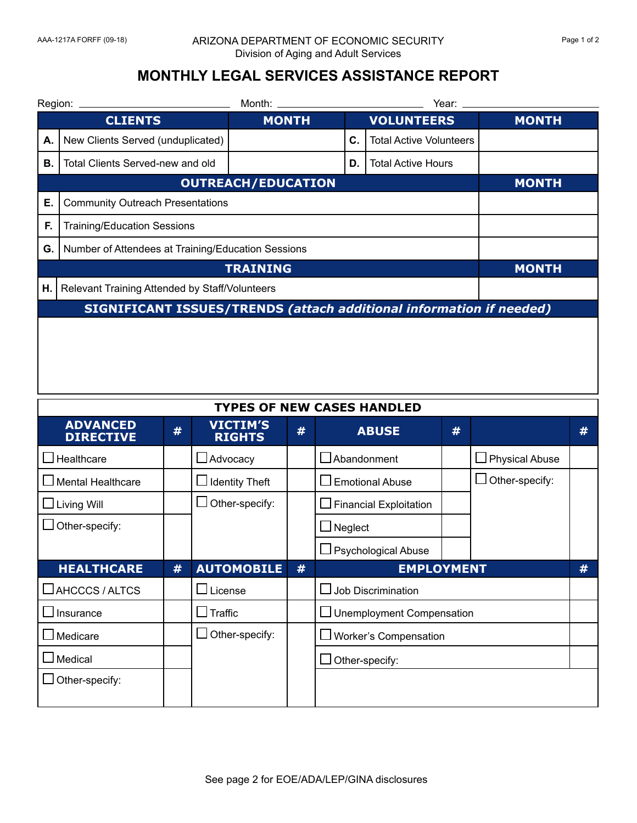## AAA-1217A FORFF (09-18) ARIZONA DEPARTMENT OF ECONOMIC SECURITY Page 1 of 2 Division of Aging and Adult Services

## **MONTHLY LEGAL SERVICES ASSISTANCE REPORT**

|                                                                            | Year:        |                                                                                                                                                                                                 |                                |              |  |  |
|----------------------------------------------------------------------------|--------------|-------------------------------------------------------------------------------------------------------------------------------------------------------------------------------------------------|--------------------------------|--------------|--|--|
| <b>CLIENTS</b>                                                             | <b>MONTH</b> |                                                                                                                                                                                                 | <b>VOLUNTEERS</b>              | <b>MONTH</b> |  |  |
| New Clients Served (unduplicated)                                          |              | С.                                                                                                                                                                                              | <b>Total Active Volunteers</b> |              |  |  |
| Total Clients Served-new and old                                           |              | D.                                                                                                                                                                                              | <b>Total Active Hours</b>      |              |  |  |
|                                                                            | <b>MONTH</b> |                                                                                                                                                                                                 |                                |              |  |  |
|                                                                            |              |                                                                                                                                                                                                 |                                |              |  |  |
| <b>Training/Education Sessions</b>                                         |              |                                                                                                                                                                                                 |                                |              |  |  |
|                                                                            |              |                                                                                                                                                                                                 |                                |              |  |  |
|                                                                            | <b>MONTH</b> |                                                                                                                                                                                                 |                                |              |  |  |
|                                                                            |              |                                                                                                                                                                                                 |                                |              |  |  |
| <b>SIGNIFICANT ISSUES/TRENDS (attach additional information if needed)</b> |              |                                                                                                                                                                                                 |                                |              |  |  |
|                                                                            | Region:      | <b>OUTREACH/EDUCATION</b><br><b>Community Outreach Presentations</b><br>Number of Attendees at Training/Education Sessions<br><b>TRAINING</b><br>Relevant Training Attended by Staff/Volunteers |                                |              |  |  |

| <b>TYPES OF NEW CASES HANDLED</b>   |   |                                  |   |                               |   |                       |   |
|-------------------------------------|---|----------------------------------|---|-------------------------------|---|-----------------------|---|
| <b>ADVANCED</b><br><b>DIRECTIVE</b> | # | <b>VICTIM'S</b><br><b>RIGHTS</b> | # | <b>ABUSE</b>                  | # |                       | # |
| $\Box$ Healthcare                   |   | $\Box$ Advocacy                  |   | $\Box$ Abandonment            |   | $\Box$ Physical Abuse |   |
| Mental Healthcare                   |   | <b>Identity Theft</b>            |   | <b>Emotional Abuse</b>        |   | $\Box$ Other-specify: |   |
| $\Box$ Living Will                  |   | Other-specify:                   |   | $\Box$ Financial Exploitation |   |                       |   |
| Other-specify:                      |   |                                  |   | Neglect                       |   |                       |   |
|                                     |   |                                  |   | $\Box$ Psychological Abuse    |   |                       |   |
| <b>HEALTHCARE</b>                   | # | <b>AUTOMOBILE</b>                | # | <b>EMPLOYMENT</b>             |   | #                     |   |
|                                     |   |                                  |   |                               |   |                       |   |
| $\Box$ AHCCCS / ALTCS               |   | $\Box$ License                   |   | $\Box$ Job Discrimination     |   |                       |   |
| $\Box$ Insurance                    |   | $\Box$ Traffic                   |   | □ Unemployment Compensation   |   |                       |   |
| Medicare                            |   | Other-specify:                   |   | Worker's Compensation         |   |                       |   |
| Medical                             |   |                                  |   | Other-specify:                |   |                       |   |
| Other-specify:                      |   |                                  |   |                               |   |                       |   |